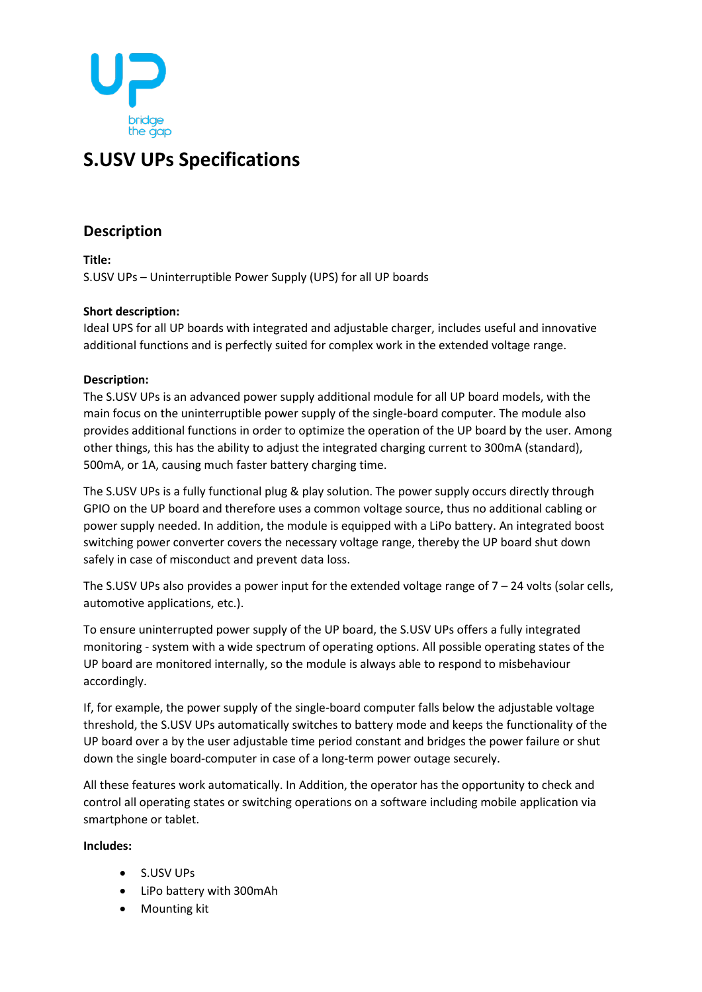

# **S.USV UPs Specifications**

## **Description**

**Title:** S.USV UPs – Uninterruptible Power Supply (UPS) for all UP boards

#### **Short description:**

Ideal UPS for all UP boards with integrated and adjustable charger, includes useful and innovative additional functions and is perfectly suited for complex work in the extended voltage range.

### **Description:**

The S.USV UPs is an advanced power supply additional module for all UP board models, with the main focus on the uninterruptible power supply of the single-board computer. The module also provides additional functions in order to optimize the operation of the UP board by the user. Among other things, this has the ability to adjust the integrated charging current to 300mA (standard), 500mA, or 1A, causing much faster battery charging time.

The S.USV UPs is a fully functional plug & play solution. The power supply occurs directly through GPIO on the UP board and therefore uses a common voltage source, thus no additional cabling or power supply needed. In addition, the module is equipped with a LiPo battery. An integrated boost switching power converter covers the necessary voltage range, thereby the UP board shut down safely in case of misconduct and prevent data loss.

The S.USV UPs also provides a power input for the extended voltage range of  $7 - 24$  volts (solar cells, automotive applications, etc.).

To ensure uninterrupted power supply of the UP board, the S.USV UPs offers a fully integrated monitoring - system with a wide spectrum of operating options. All possible operating states of the UP board are monitored internally, so the module is always able to respond to misbehaviour accordingly.

If, for example, the power supply of the single-board computer falls below the adjustable voltage threshold, the S.USV UPs automatically switches to battery mode and keeps the functionality of the UP board over a by the user adjustable time period constant and bridges the power failure or shut down the single board-computer in case of a long-term power outage securely.

All these features work automatically. In Addition, the operator has the opportunity to check and control all operating states or switching operations on a software including mobile application via smartphone or tablet.

#### **Includes:**

- S.USV UPs
- LiPo battery with 300mAh
- Mounting kit